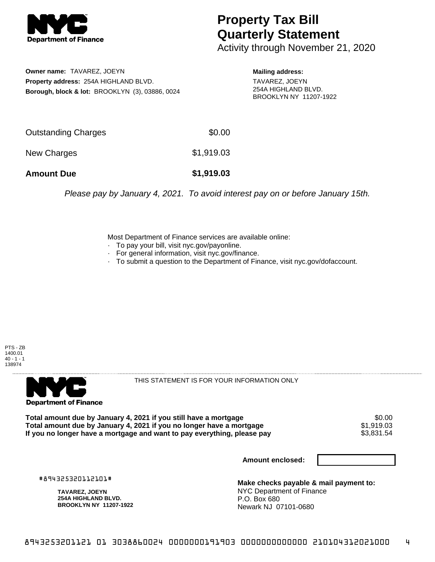

## **Property Tax Bill Quarterly Statement**

Activity through November 21, 2020

**Owner name:** TAVAREZ, JOEYN **Property address:** 254A HIGHLAND BLVD. **Borough, block & lot:** BROOKLYN (3), 03886, 0024

**Mailing address:** TAVAREZ, JOEYN 254A HIGHLAND BLVD.

BROOKLYN NY 11207-1922

Outstanding Charges \$0.00 New Charges \$1,919.03 **Amount Due \$1,919.03**

Please pay by January 4, 2021. To avoid interest pay on or before January 15th.

Most Department of Finance services are available online:

- · To pay your bill, visit nyc.gov/payonline.
- For general information, visit nyc.gov/finance.
- · To submit a question to the Department of Finance, visit nyc.gov/dofaccount.

PTS - ZB 1400.01  $40 - 1 - 1$ 138974



THIS STATEMENT IS FOR YOUR INFORMATION ONLY

Total amount due by January 4, 2021 if you still have a mortgage \$0.00<br>Total amount due by January 4, 2021 if you no longer have a mortgage \$1.919.03 **Total amount due by January 4, 2021 if you no longer have a mortgage**  $$1,919.03$ **<br>If you no longer have a mortgage and want to pay everything, please pay**  $$3,831.54$ If you no longer have a mortgage and want to pay everything, please pay

**Amount enclosed:**

#894325320112101#

**TAVAREZ, JOEYN 254A HIGHLAND BLVD. BROOKLYN NY 11207-1922**

**Make checks payable & mail payment to:** NYC Department of Finance P.O. Box 680 Newark NJ 07101-0680